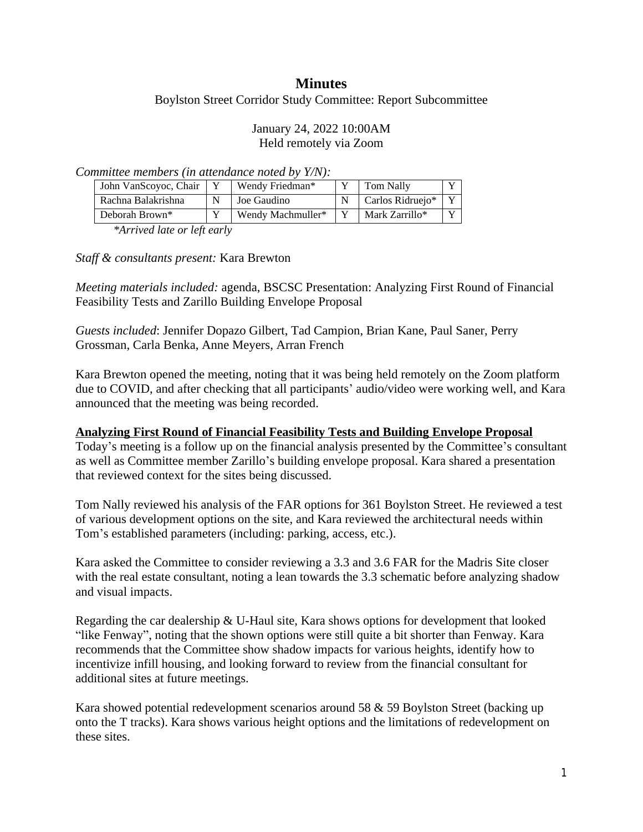# **Minutes**

Boylston Street Corridor Study Committee: Report Subcommittee

#### January 24, 2022 10:00AM Held remotely via Zoom

*Committee members (in attendance noted by Y/N):*

| John VanScoyoc, Chair | Wendy Friedman*   | Tom Nally        | x,           |
|-----------------------|-------------------|------------------|--------------|
| Rachna Balakrishna    | Joe Gaudino       | Carlos Ridruejo* |              |
| Deborah Brown*        | Wendy Machmuller* | Mark Zarrillo*   | $\mathbf{v}$ |

*\*Arrived late or left early*

*Staff & consultants present:* Kara Brewton

*Meeting materials included:* agenda, BSCSC Presentation: Analyzing First Round of Financial Feasibility Tests and Zarillo Building Envelope Proposal

*Guests included*: Jennifer Dopazo Gilbert, Tad Campion, Brian Kane, Paul Saner, Perry Grossman, Carla Benka, Anne Meyers, Arran French

Kara Brewton opened the meeting, noting that it was being held remotely on the Zoom platform due to COVID, and after checking that all participants' audio/video were working well, and Kara announced that the meeting was being recorded.

#### **Analyzing First Round of Financial Feasibility Tests and Building Envelope Proposal**

Today's meeting is a follow up on the financial analysis presented by the Committee's consultant as well as Committee member Zarillo's building envelope proposal. Kara shared a presentation that reviewed context for the sites being discussed.

Tom Nally reviewed his analysis of the FAR options for 361 Boylston Street. He reviewed a test of various development options on the site, and Kara reviewed the architectural needs within Tom's established parameters (including: parking, access, etc.).

Kara asked the Committee to consider reviewing a 3.3 and 3.6 FAR for the Madris Site closer with the real estate consultant, noting a lean towards the 3.3 schematic before analyzing shadow and visual impacts.

Regarding the car dealership & U-Haul site, Kara shows options for development that looked "like Fenway", noting that the shown options were still quite a bit shorter than Fenway. Kara recommends that the Committee show shadow impacts for various heights, identify how to incentivize infill housing, and looking forward to review from the financial consultant for additional sites at future meetings.

Kara showed potential redevelopment scenarios around 58 & 59 Boylston Street (backing up onto the T tracks). Kara shows various height options and the limitations of redevelopment on these sites.